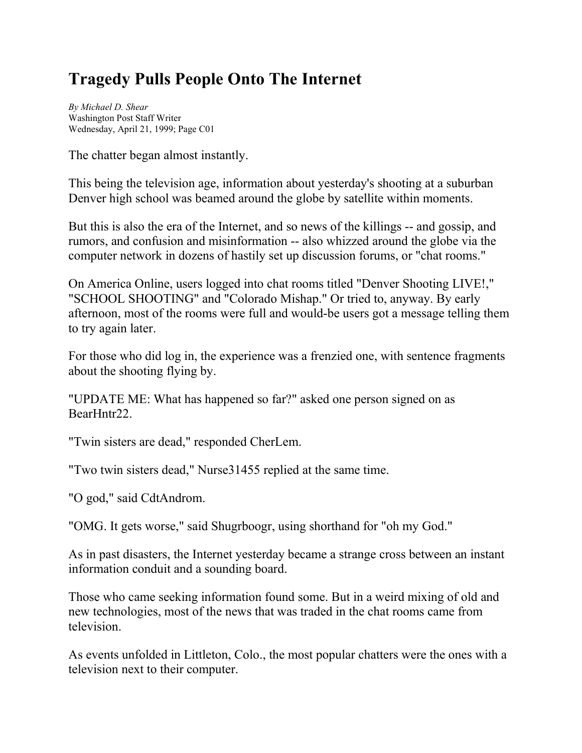## **Tragedy Pulls People Onto The Internet**

*By Michael D. Shear* Washington Post Staff Writer Wednesday, April 21, 1999; Page C01

The chatter began almost instantly.

This being the television age, information about yesterday's shooting at a suburban Denver high school was beamed around the globe by satellite within moments.

But this is also the era of the Internet, and so news of the killings -- and gossip, and rumors, and confusion and misinformation -- also whizzed around the globe via the computer network in dozens of hastily set up discussion forums, or "chat rooms."

On America Online, users logged into chat rooms titled "Denver Shooting LIVE!," "SCHOOL SHOOTING" and "Colorado Mishap." Or tried to, anyway. By early afternoon, most of the rooms were full and would-be users got a message telling them to try again later.

For those who did log in, the experience was a frenzied one, with sentence fragments about the shooting flying by.

"UPDATE ME: What has happened so far?" asked one person signed on as BearHntr22.

"Twin sisters are dead," responded CherLem.

"Two twin sisters dead," Nurse31455 replied at the same time.

"O god," said CdtAndrom.

"OMG. It gets worse," said Shugrboogr, using shorthand for "oh my God."

As in past disasters, the Internet yesterday became a strange cross between an instant information conduit and a sounding board.

Those who came seeking information found some. But in a weird mixing of old and new technologies, most of the news that was traded in the chat rooms came from television.

As events unfolded in Littleton, Colo., the most popular chatters were the ones with a television next to their computer.